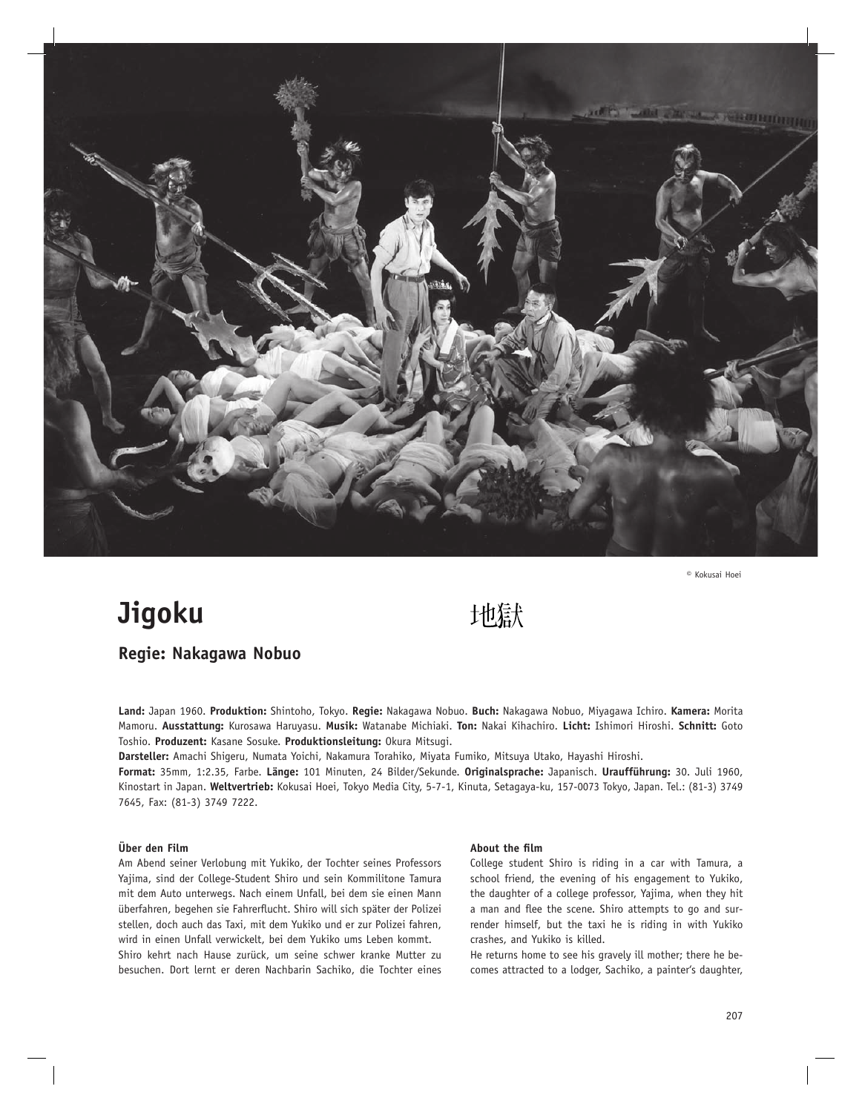

**©** Kokusai Hoei

## **Jigoku**

# 地獄

## **Regie: Nakagawa Nobuo**

**Land:** Japan 1960. **Produktion:** Shintoho, Tokyo. **Regie:** Nakagawa Nobuo. **Buch:** Nakagawa Nobuo, Miyagawa Ichiro. **Kamera:** Morita Mamoru. **Ausstattung:** Kurosawa Haruyasu. **Musik:** Watanabe Michiaki. **Ton:** Nakai Kihachiro. **Licht:** Ishimori Hiroshi. **Schnitt:** Goto Toshio. **Produzent:** Kasane Sosuke. **Produktionsleitung:** Okura Mitsugi.

**Darsteller:** Amachi Shigeru, Numata Yoichi, Nakamura Torahiko, Miyata Fumiko, Mitsuya Utako, Hayashi Hiroshi.

**Format:** 35mm, 1:2.35, Farbe. **Länge:** 101 Minuten, 24 Bilder/Sekunde. **Originalsprache:** Japanisch. **Uraufführung:** 30. Juli 1960, Kinostart in Japan. **Weltvertrieb:** Kokusai Hoei, Tokyo Media City, 5-7-1, Kinuta, Setagaya-ku, 157-0073 Tokyo, Japan. Tel.: (81-3) 3749 7645, Fax: (81-3) 3749 7222.

### **Über den Film**

Am Abend seiner Verlobung mit Yukiko, der Tochter seines Professors Yajima, sind der College-Student Shiro und sein Kommilitone Tamura mit dem Auto unterwegs. Nach einem Unfall, bei dem sie einen Mann überfahren, begehen sie Fahrerflucht. Shiro will sich später der Polizei stellen, doch auch das Taxi, mit dem Yukiko und er zur Polizei fahren, wird in einen Unfall verwickelt, bei dem Yukiko ums Leben kommt.

Shiro kehrt nach Hause zurück, um seine schwer kranke Mutter zu besuchen. Dort lernt er deren Nachbarin Sachiko, die Tochter eines

#### **About the film**

College student Shiro is riding in a car with Tamura, a school friend, the evening of his engagement to Yukiko, the daughter of a college professor, Yajima, when they hit a man and flee the scene. Shiro attempts to go and surrender himself, but the taxi he is riding in with Yukiko crashes, and Yukiko is killed.

He returns home to see his gravely ill mother; there he becomes attracted to a lodger, Sachiko, a painter's daughter,